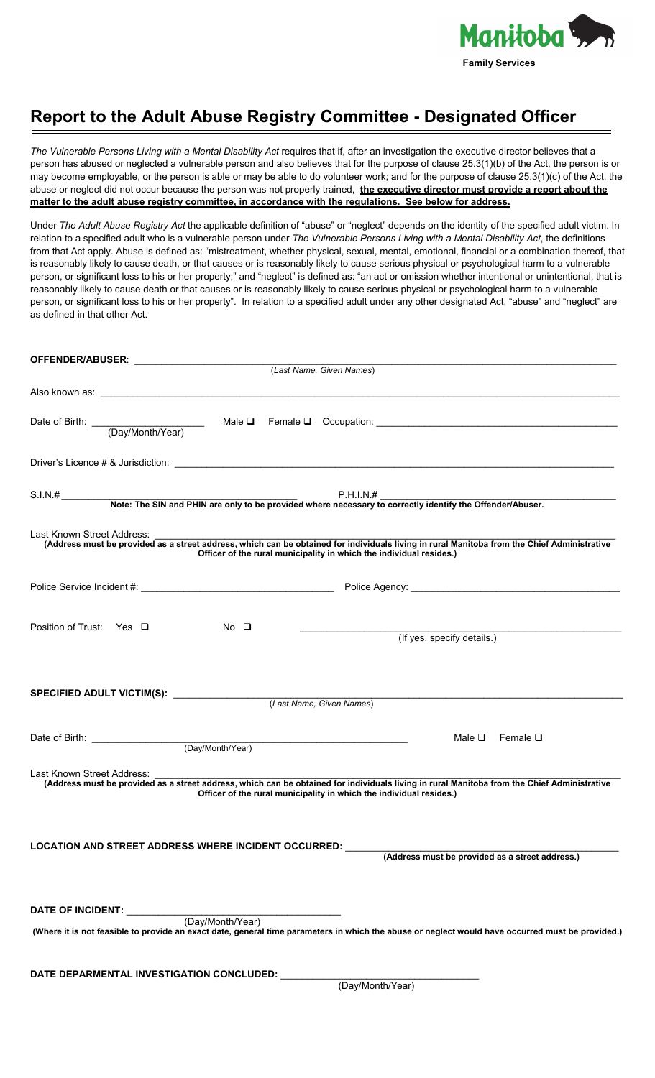

## **Report to the Adult Abuse Registry Committee - Designated Officer**

*The Vulnerable Persons Living with a Mental Disability Act* requires that if, after an investigation the executive director believes that a person has abused or neglected a vulnerable person and also believes that for the purpose of clause 25.3(1)(b) of the Act, the person is or may become employable, or the person is able or may be able to do volunteer work; and for the purpose of clause 25.3(1)(c) of the Act, the abuse or neglect did not occur because the person was not properly trained, **the executive director must provide a report about the matter to the adult abuse registry committee, in accordance with the regulations. See below for address.** 

Under *The Adult Abuse Registry Act* the applicable definition of "abuse" or "neglect" depends on the identity of the specified adult victim. In relation to a specified adult who is a vulnerable person under *The Vulnerable Persons Living with a Mental Disability Act*, the definitions from that Act apply. Abuse is defined as: "mistreatment, whether physical, sexual, mental, emotional, financial or a combination thereof, that is reasonably likely to cause death, or that causes or is reasonably likely to cause serious physical or psychological harm to a vulnerable person, or significant loss to his or her property;" and "neglect" is defined as: "an act or omission whether intentional or unintentional, that is reasonably likely to cause death or that causes or is reasonably likely to cause serious physical or psychological harm to a vulnerable person, or significant loss to his or her property". In relation to a specified adult under any other designated Act, "abuse" and "neglect" are as defined in that other Act.

| (Last Name, Given Names)                                                                                                                                                                                                                         |  |  |
|--------------------------------------------------------------------------------------------------------------------------------------------------------------------------------------------------------------------------------------------------|--|--|
|                                                                                                                                                                                                                                                  |  |  |
| Date of Birth: (Day/Month/Year) Male □ Female □ Occupation: (Day/Month/Year)                                                                                                                                                                     |  |  |
|                                                                                                                                                                                                                                                  |  |  |
|                                                                                                                                                                                                                                                  |  |  |
| Last Known Street Address:<br>(Address must be provided as a street address, which can be obtained for individuals living in rural Manitoba from the Chief Administrative<br>Officer of the rural municipality in which the individual resides.) |  |  |
|                                                                                                                                                                                                                                                  |  |  |
| Position of Trust: Yes □<br>No O<br>(If yes, specify details.)                                                                                                                                                                                   |  |  |
| SPECIFIED ADULT VICTIM(S): _______________<br>(Last Name, Given Names)                                                                                                                                                                           |  |  |
| Date of Birth: (Day/Month/Year)<br>Male $\Box$ Female $\Box$                                                                                                                                                                                     |  |  |
| Last Known Street Address:<br>(Address must be provided as a street address, which can be obtained for individuals living in rural Manitoba from the Chief Administrative<br>Officer of the rural municipality in which the individual resides.) |  |  |
| LOCATION AND STREET ADDRESS WHERE INCIDENT OCCURRED: ______<br>(Address must be provided as a street address.)                                                                                                                                   |  |  |
| DATE OF INCIDENT: <u>(Day/Month/Year)</u><br>(Where it is not feasible to provide an exact date, general time parameters in which the abuse or neglect would have occurred must be provided.)                                                    |  |  |
| DATE DEPARMENTAL INVESTIGATION CONCLUDED: (Day/Month/Year)                                                                                                                                                                                       |  |  |